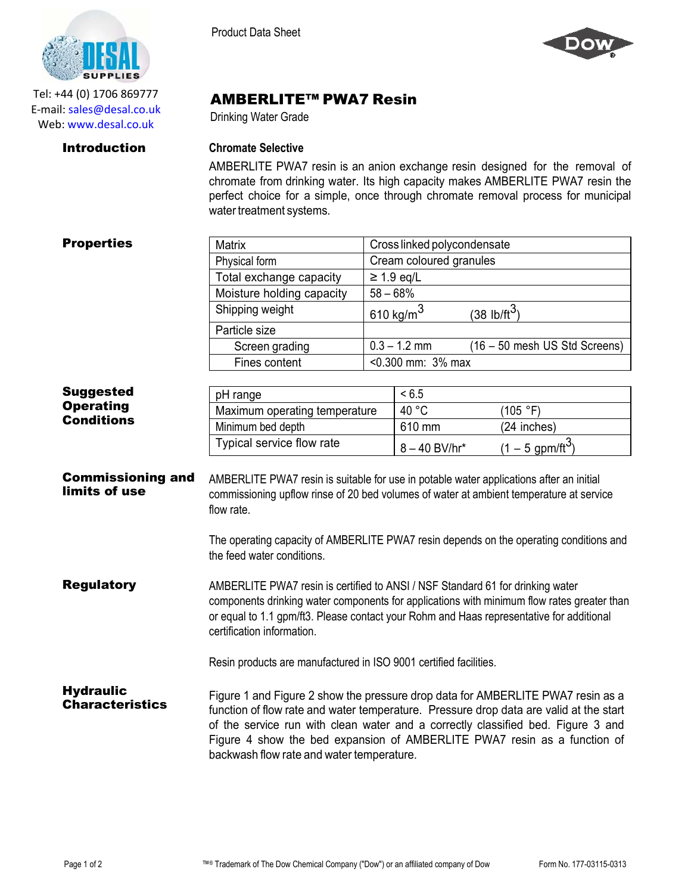

Tel: +44 (0) 1706 869777 E‐mail: sales@desal.co.uk Web: www.desal.co.uk

Product Data Sheet



## AMBERLITE™ PWA7 Resin

Drinking Water Grade

## Introduction **Chromate Selective**

AMBERLITE PWA7 resin is an anion exchange resin designed for the removal of chromate from drinking water. Its high capacity makes AMBERLITE PWA7 resin the perfect choice for a simple, once through chromate removal process for municipal water treatment systems.

|  | <b>Properties</b> |
|--|-------------------|
|--|-------------------|

| <b>Properties</b>                          | Matrix                                                                                                                                                                                                                                                                                                                                                                                 | Cross linked polycondensate                     |                 |                                |
|--------------------------------------------|----------------------------------------------------------------------------------------------------------------------------------------------------------------------------------------------------------------------------------------------------------------------------------------------------------------------------------------------------------------------------------------|-------------------------------------------------|-----------------|--------------------------------|
|                                            | Physical form                                                                                                                                                                                                                                                                                                                                                                          | Cream coloured granules                         |                 |                                |
|                                            | Total exchange capacity                                                                                                                                                                                                                                                                                                                                                                | $\geq$ 1.9 eq/L                                 |                 |                                |
|                                            | Moisture holding capacity                                                                                                                                                                                                                                                                                                                                                              | $58 - 68%$                                      |                 |                                |
|                                            | Shipping weight                                                                                                                                                                                                                                                                                                                                                                        | $610 \text{ kg/m}^3$<br>$(38 \text{ lb/ft}^3)$  |                 |                                |
|                                            | Particle size                                                                                                                                                                                                                                                                                                                                                                          |                                                 |                 |                                |
|                                            | Screen grading                                                                                                                                                                                                                                                                                                                                                                         | $0.3 - 1.2$ mm<br>(16 - 50 mesh US Std Screens) |                 |                                |
|                                            | Fines content                                                                                                                                                                                                                                                                                                                                                                          | <0.300 mm: 3% max                               |                 |                                |
|                                            |                                                                                                                                                                                                                                                                                                                                                                                        |                                                 |                 |                                |
| <b>Suggested</b>                           | pH range                                                                                                                                                                                                                                                                                                                                                                               |                                                 | < 6.5           |                                |
| <b>Operating</b><br><b>Conditions</b>      | Maximum operating temperature                                                                                                                                                                                                                                                                                                                                                          |                                                 | 40 °C           | (105 °F)                       |
|                                            | Minimum bed depth                                                                                                                                                                                                                                                                                                                                                                      |                                                 | 610 mm          | (24 inches)                    |
|                                            | Typical service flow rate                                                                                                                                                                                                                                                                                                                                                              |                                                 | $8 - 40$ BV/hr* | $(1 - 5$ gpm/ft <sup>3</sup> ) |
| <b>Commissioning and</b><br>limits of use  | AMBERLITE PWA7 resin is suitable for use in potable water applications after an initial<br>commissioning upflow rinse of 20 bed volumes of water at ambient temperature at service<br>flow rate.<br>The operating capacity of AMBERLITE PWA7 resin depends on the operating conditions and<br>the feed water conditions.                                                               |                                                 |                 |                                |
| <b>Regulatory</b>                          | AMBERLITE PWA7 resin is certified to ANSI / NSF Standard 61 for drinking water<br>components drinking water components for applications with minimum flow rates greater than<br>or equal to 1.1 gpm/ft3. Please contact your Rohm and Haas representative for additional<br>certification information.<br>Resin products are manufactured in ISO 9001 certified facilities.            |                                                 |                 |                                |
| <b>Hydraulic</b><br><b>Characteristics</b> | Figure 1 and Figure 2 show the pressure drop data for AMBERLITE PWA7 resin as a<br>function of flow rate and water temperature. Pressure drop data are valid at the start<br>of the service run with clean water and a correctly classified bed. Figure 3 and<br>Figure 4 show the bed expansion of AMBERLITE PWA7 resin as a function of<br>backwash flow rate and water temperature. |                                                 |                 |                                |